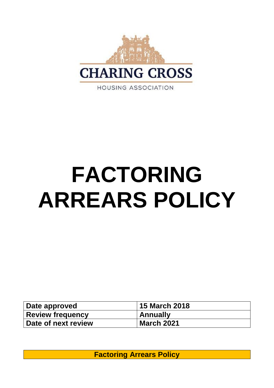

# **FACTORING ARREARS POLICY**

| Date approved           | <b>15 March 2018</b> |
|-------------------------|----------------------|
| <b>Review frequency</b> | Annually             |
| Date of next review     | <b>March 2021</b>    |

**Factoring Arrears Policy**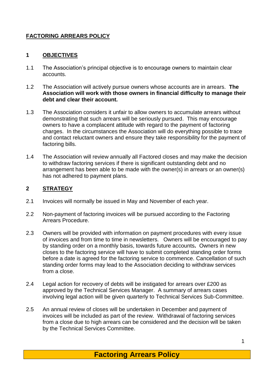## **FACTORING ARREARS POLICY**

#### **1 OBJECTIVES**

- 1.1 The Association's principal objective is to encourage owners to maintain clear accounts.
- 1.2 The Association will actively pursue owners whose accounts are in arrears. **The Association will work with those owners in financial difficulty to manage their debt and clear their account.**
- 1.3 The Association considers it unfair to allow owners to accumulate arrears without demonstrating that such arrears will be seriously pursued. This may encourage owners to have a complacent attitude with regard to the payment of factoring charges. In the circumstances the Association will do everything possible to trace and contact reluctant owners and ensure they take responsibility for the payment of factoring bills.
- 1.4 The Association will review annually all Factored closes and may make the decision to withdraw factoring services if there is significant outstanding debt and no arrangement has been able to be made with the owner(s) in arrears or an owner(s) has not adhered to payment plans.

### **2 STRATEGY**

- 2.1 Invoices will normally be issued in May and November of each year.
- 2.2 Non-payment of factoring invoices will be pursued according to the Factoring Arrears Procedure.
- 2.3 Owners will be provided with information on payment procedures with every issue of invoices and from time to time in newsletters. Owners will be encouraged to pay by standing order on a monthly basis, towards future accounts**.** Owners in new closes to the factoring service will have to submit completed standing order forms before a date is agreed for the factoring service to commence. Cancellation of such standing order forms may lead to the Association deciding to withdraw services from a close.
- 2.4 Legal action for recovery of debts will be instigated for arrears over £200 as approved by the Technical Services Manager. A summary of arrears cases involving legal action will be given quarterly to Technical Services Sub-Committee.
- 2.5 An annual review of closes will be undertaken in December and payment of invoices will be included as part of the review. Withdrawal of factoring services from a close due to high arrears can be considered and the decision will be taken by the Technical Services Committee.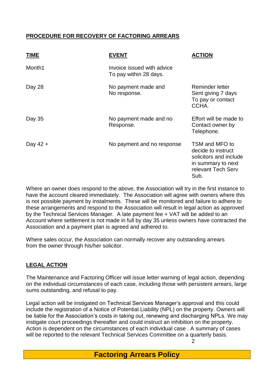## **PROCEDURE FOR RECOVERY OF FACTORING ARREARS**

| <b>TIME</b> | <b>EVENT</b>                                         | <b>ACTION</b>                                                                                                      |
|-------------|------------------------------------------------------|--------------------------------------------------------------------------------------------------------------------|
| Month1      | Invoice issued with advice<br>To pay within 28 days. |                                                                                                                    |
| Day 28      | No payment made and<br>No response.                  | <b>Reminder letter</b><br>Sent giving 7 days<br>To pay or contact<br>CCHA.                                         |
| Day 35      | No payment made and no<br>Response.                  | Effort will be made to<br>Contact owner by<br>Telephone.                                                           |
| Day $42 +$  | No payment and no response                           | TSM and MFO to<br>decide to instruct<br>solicitors and include<br>in summary to next<br>relevant Tech Serv<br>Sub. |

Where an owner does respond to the above, the Association will try in the first instance to have the account cleared immediately. The Association will agree with owners where this is not possible payment by instalments. These will be monitored and failure to adhere to these arrangements and respond to the Association will result in legal action as approved by the Technical Services Manager. A late payment fee + VAT will be added to an Account where settlement is not made in full by day 35 unless owners have contracted the Association and a payment plan is agreed and adhered to.

Where sales occur, the Association can normally recover any outstanding arrears from the owner through his/her solicitor.

## **LEGAL ACTION**

The Maintenance and Factoring Officer will issue letter warning of legal action, depending on the individual circumstances of each case, including those with persistent arrears, large sums outstanding, and refusal to pay.

Legal action will be instigated on Technical Services Manager's approval and this could include the registration of a Notice of Potential Liability (NPL) on the property. Owners will be liable for the Association's costs in taking out, renewing and discharging NPLs. We may instigate court proceedings thereafter and could instruct an inhibition on the property. Action is dependent on the circumstances of each individual case . A summary of cases will be reported to the relevant Technical Services Committee on a quarterly basis.

 $\mathfrak{p}$ 

**Factoring Arrears Policy**